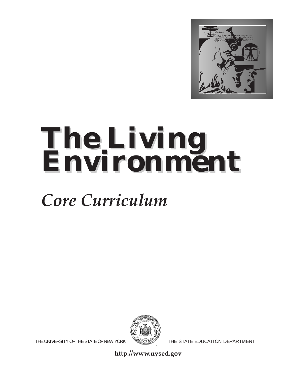

# *The Living The Living Environment Environment*

# *Core Curriculum*



THE UNIVERSITY OF THE STATE OF NEW YORK  $\sqrt{2}$  The state education department

**http://www.nysed.gov**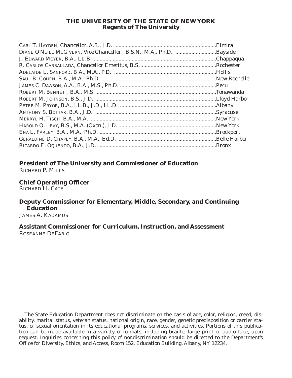#### **THE UNIVERSITY OF THE STATE OF NEW YORK Regents of The University**

**President of The University and Commissioner of Education** RICHARD P. MILLS

**Chief Operating Officer** RICHARD H. CATE

#### **Deputy Commissioner for Elementary, Middle, Secondary, and Continuing Education**

JAMES A. KADAMUS

#### **Assistant Commissioner for Curriculum, Instruction, and Assessment** ROSEANNE DEFABIO

The State Education Department does not discriminate on the basis of age, color, religion, creed, disability, marital status, veteran status, national origin, race, gender, genetic predisposition or carrier status, or sexual orientation in its educational programs, services, and activities. Portions of this publication can be made available in a variety of formats, including braille, large print or audio tape, upon request. Inquiries concerning this policy of nondiscrimination should be directed to the Department's Office for Diversity, Ethics, and Access, Room 152, Education Building, Albany, NY 12234.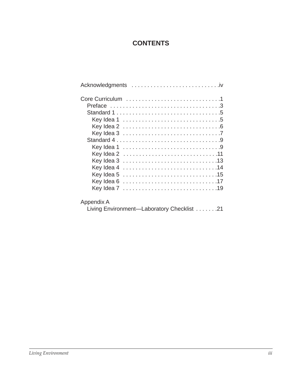# **CONTENTS**

| Key Idea 4 14 |
|---------------|
| Key Idea 5    |
| Key Idea 6    |
| Key Idea 7 19 |
| Appendix A    |

Living Environment—Laboratory Checklist . . . . . . .21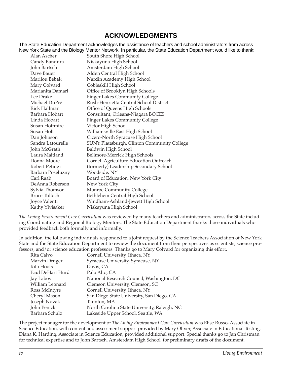### **ACKNOWLEDGMENTS**

The State Education Department acknowledges the assistance of teachers and school administrators from across New York State and the Biology Mentor Network. In particular, the State Education Department would like to thank:

| Alan Ascher          | South Shore High School                     |
|----------------------|---------------------------------------------|
| Candy Bandura        | Niskayuna High School                       |
| John Bartsch         | Amsterdam High School                       |
| Dave Bauer           | Alden Central High School                   |
| Marilou Bebak        | Nardin Academy High School                  |
| Mary Colvard         | Cobleskill High School                      |
| Marianita Damari     | Office of Brooklyn High Schools             |
| Lee Drake            | <b>Finger Lakes Community College</b>       |
| Michael DuPré        | Rush-Henrietta Central School District      |
| Rick Hallman         | Office of Queens High Schools               |
| Barbara Hobart       | Consultant, Orleans-Niagara BOCES           |
| Linda Hobart         | <b>Finger Lakes Community College</b>       |
| Susan Hoffmire       | Victor High School                          |
| Susan Holt           | Williamsville East High School              |
| Dan Johnson          | Cicero-North Syracuse High School           |
| Sandra Latourelle    | SUNY Plattsburgh, Clinton Community College |
| John McGrath         | Baldwin High School                         |
| Laura Maitland       | Bellmore-Merrick High Schools               |
| Donna Moore          | Cornell Agriculture Education Outreach      |
| Robert Petingi       | (formerly) Leadership Secondary School      |
| Barbara Poseluzny    | Woodside, NY                                |
| Carl Raab            | Board of Education, New York City           |
| DeAnna Roberson      | New York City                               |
| Sylvia Thomson       | Monroe Community College                    |
| <b>Bruce Tulloch</b> | Bethlehem Central High School               |
| Joyce Valenti        | Windham-Ashland-Jewett High School          |
| Kathy Ylvisaker      | Niskayuna High School                       |

*The Living Environment Core Curriculum* was reviewed by many teachers and administrators across the State including Coordinating and Regional Biology Mentors. The State Education Department thanks those individuals who provided feedback both formally and informally.

In addition, the following individuals responded to a joint request by the Science Teachers Association of New York State and the State Education Department to review the document from their perspectives as scientists, science professors, and/or science education professors. Thanks go to Mary Colvard for organizing this effort.

| Cornell University, Ithaca, NY               |
|----------------------------------------------|
| Syracuse University, Syracuse, NY            |
| Davis, CA                                    |
| Palo Alto, CA                                |
| National Research Council, Washington, DC    |
| Clemson University, Clemson, SC              |
| Cornell University, Ithaca, NY               |
| San Diego State University, San Diego, CA    |
| Taunton, MA                                  |
| North Carolina State University, Raleigh, NC |
| Lakeside Upper School, Seattle, WA           |
|                                              |

The project manager for the development of *The Living Environment Core Curriculum* was Elise Russo, Associate in Science Education, with content and assessment support provided by Mary Oliver, Associate in Educational Testing. Diana K. Harding, Associate in Science Education, provided additional support. Special thanks go to Jan Christman for technical expertise and to John Bartsch, Amsterdam High School, for preliminary drafts of the document.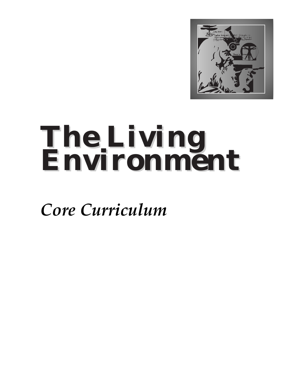

# *The Living The Living Environment Environment*

*Core Curriculum*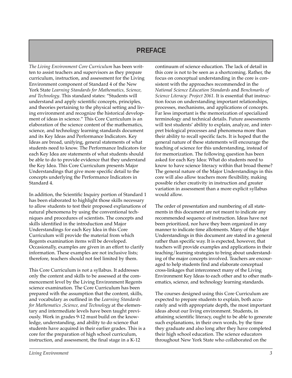### **PREFACE**

*The Living Environment Core Curriculum* has been written to assist teachers and supervisors as they prepare curriculum, instruction, and assessment for the Living Environment component of Standard 4 of the New York State *Learning Standards for Mathematics, Science, and Technology*. This standard states: "Students will understand and apply scientific concepts, principles, and theories pertaining to the physical setting and living environment and recognize the historical development of ideas in science." This Core Curriculum is an elaboration of the science content of the mathematics, science, and technology learning standards document and its Key Ideas and Performance Indicators. Key Ideas are broad, unifying, general statements of what students need to know. The Performance Indicators for each Key Idea are statements of what students should be able to do to provide evidence that they understand the Key Idea. This Core Curriculum presents Major Understandings that give more specific detail to the concepts underlying the Performance Indicators in Standard 4.

In addition, the Scientific Inquiry portion of Standard 1 has been elaborated to highlight those skills necessary to allow students to test their proposed explanations of natural phenomena by using the conventional techniques and procedures of scientists. The concepts and skills identified in the introduction and Major Understandings for each Key Idea in this Core Curriculum will provide the material from which Regents examination items will be developed. Occasionally, examples are given in an effort to clarify information. These examples are not inclusive lists; therefore, teachers should not feel limited by them.

This Core Curriculum is not a syllabus. It addresses only the content and skills to be assessed at the commencement level by the Living Environment Regents science examination. The Core Curriculum has been prepared with the assumption that the content, skills, and vocabulary as outlined in the *Learning Standards for Mathematics ,Science, and Technology* at the elementary and intermediate levels have been taught previously. Work in grades 9-12 must build on the knowledge, understanding, and ability to do science that students have acquired in their earlier grades. This is a core for the preparation of high school curriculum, instruction, and assessment, the final stage in a K-12

continuum of science education. The lack of detail in this core is not to be seen as a shortcoming. Rather, the focus on conceptual understanding in the core is consistent with the approaches recommended in the *National Science Education Standards* and *Benchmarks of Science Literacy: Project 2061.* It is essential that instruction focus on understanding important relationships, processes, mechanisms, and applications of concepts. Far less important is the memorization of specialized terminology and technical details. Future assessments will test students' ability to explain, analyze, and interpret biological processes and phenomena more than their ability to recall specific facts. It is hoped that the general nature of these statements will encourage the teaching of science for this understanding, instead of for memorization. The following question has been asked for each Key Idea: What do students need to know to have science literacy within that broad theme? The general nature of the Major Understandings in this core will also allow teachers more flexibility, making possible richer creativity in instruction and greater variation in assessment than a more explicit syllabus would allow.

The order of presentation and numbering of all statements in this document are not meant to indicate any recommended sequence of instruction. Ideas have not been prioritized, nor have they been organized in any manner to indicate time allotments. Many of the Major Understandings in this document are stated in a general rather than specific way. It is expected, however, that teachers will provide examples and applications in their teaching/learning strategies to bring about understanding of the major concepts involved. Teachers are encouraged to help students find and elaborate conceptual cross-linkages that interconnect many of the Living Environment Key Ideas to each other and to other mathematics, science, and technology learning standards.

The courses designed using this Core Curriculum are expected to prepare students to explain, both accurately and with appropriate depth, the most important ideas about our living environment. Students, in attaining scientific literacy, ought to be able to generate such explanations, in their own words, by the time they graduate and also long after they have completed their high school education. The science educators throughout New York State who collaborated on the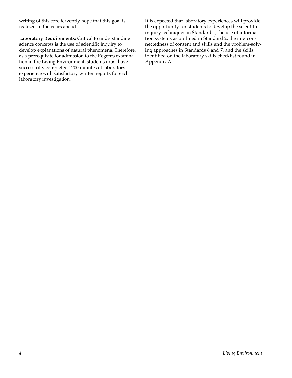writing of this core fervently hope that this goal is realized in the years ahead.

**Laboratory Requirements:** Critical to understanding science concepts is the use of scientific inquiry to develop explanations of natural phenomena. Therefore, as a prerequisite for admission to the Regents examination in the Living Environment, students must have successfully completed 1200 minutes of laboratory experience with satisfactory written reports for each laboratory investigation.

It is expected that laboratory experiences will provide the opportunity for students to develop the scientific inquiry techniques in Standard 1, the use of information systems as outlined in Standard 2, the interconnectedness of content and skills and the problem-solving approaches in Standards 6 and 7, and the skills identified on the laboratory skills checklist found in Appendix A.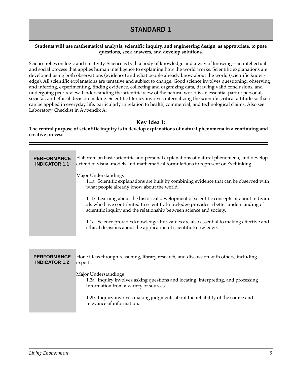# **STANDARD 1**

#### **Students will use mathematical analysis, scientific inquiry, and engineering design, as appropriate, to pose questions, seek answers, and develop solutions.**

Science relies on logic and creativity. Science is both a body of knowledge and a way of knowing—an intellectual and social process that applies human intelligence to explaining how the world works. Scientific explanations are developed using both observations (evidence) and what people already know about the world (scientific knowledge). All scientific explanations are tentative and subject to change. Good science involves questioning, observing and inferring, experimenting, finding evidence, collecting and organizing data, drawing valid conclusions, and undergoing peer review. Understanding the scientific view of the natural world is an essential part of personal, societal, and ethical decision making. Scientific literacy involves internalizing the scientific critical attitude so that it can be applied in everyday life, particularly in relation to health, commercial, and technological claims. Also see Laboratory Checklist in Appendix A.

**Key Idea 1:** 

**The central purpose of scientific inquiry is to develop explanations of natural phenomena in a continuing and creative process.**

| <b>PERFORMANCE</b><br><b>INDICATOR 1.1</b> | Elaborate on basic scientific and personal explanations of natural phenomena, and develop<br>extended visual models and mathematical formulations to represent one's thinking.<br>Major Understandings<br>1.1a Scientific explanations are built by combining evidence that can be observed with<br>what people already know about the world.<br>1.1b Learning about the historical development of scientific concepts or about individu-<br>als who have contributed to scientific knowledge provides a better understanding of<br>scientific inquiry and the relationship between science and society.<br>1.1c Science provides knowledge, but values are also essential to making effective and<br>ethical decisions about the application of scientific knowledge. |
|--------------------------------------------|------------------------------------------------------------------------------------------------------------------------------------------------------------------------------------------------------------------------------------------------------------------------------------------------------------------------------------------------------------------------------------------------------------------------------------------------------------------------------------------------------------------------------------------------------------------------------------------------------------------------------------------------------------------------------------------------------------------------------------------------------------------------|
| <b>PERFORMANCE</b>                         | Hone ideas through reasoning, library research, and discussion with others, including                                                                                                                                                                                                                                                                                                                                                                                                                                                                                                                                                                                                                                                                                  |
| <b>INDICATOR 1.2</b>                       | experts.                                                                                                                                                                                                                                                                                                                                                                                                                                                                                                                                                                                                                                                                                                                                                               |

Major Understandings

1.2a Inquiry involves asking questions and locating, interpreting, and processing information from a variety of sources.

1.2b Inquiry involves making judgments about the reliability of the source and relevance of information.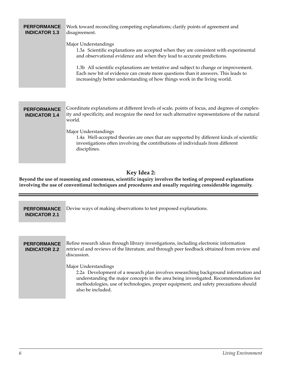| <b>PERFORMANCE</b><br><b>INDICATOR 1.3</b> | Work toward reconciling competing explanations; clarify points of agreement and<br>disagreement.<br>Major Understandings<br>1.3a Scientific explanations are accepted when they are consistent with experimental<br>and observational evidence and when they lead to accurate predictions.<br>1.3b All scientific explanations are tentative and subject to change or improvement.<br>Each new bit of evidence can create more questions than it answers. This leads to<br>increasingly better understanding of how things work in the living world. |
|--------------------------------------------|------------------------------------------------------------------------------------------------------------------------------------------------------------------------------------------------------------------------------------------------------------------------------------------------------------------------------------------------------------------------------------------------------------------------------------------------------------------------------------------------------------------------------------------------------|
| <b>PERFORMANCE</b><br><b>INDICATOR 1.4</b> | Coordinate explanations at different levels of scale, points of focus, and degrees of complex-<br>ity and specificity, and recognize the need for such alternative representations of the natural<br>world.<br>Major Understandings<br>1.4a Well-accepted theories are ones that are supported by different kinds of scientific<br>investigations often involving the contributions of individuals from different<br>disciplines.                                                                                                                    |

#### **Key Idea 2:**

**Beyond the use of reasoning and consensus, scientific inquiry involves the testing of proposed explanations involving the use of conventional techniques and procedures and usually requiring considerable ingenuity.**

| <b>PERFORMANCE</b><br><b>INDICATOR 2.1</b> | Devise ways of making observations to test proposed explanations.                                                                                                                                                                                                                                               |
|--------------------------------------------|-----------------------------------------------------------------------------------------------------------------------------------------------------------------------------------------------------------------------------------------------------------------------------------------------------------------|
|                                            |                                                                                                                                                                                                                                                                                                                 |
| <b>PERFORMANCE</b><br><b>INDICATOR 2.2</b> | Refine research ideas through library investigations, including electronic information<br>retrieval and reviews of the literature, and through peer feedback obtained from review and<br>discussion.                                                                                                            |
|                                            | Major Understandings<br>2.2a Development of a research plan involves researching background information and<br>understanding the major concepts in the area being investigated. Recommendations for<br>methodologies, use of technologies, proper equipment, and safety precautions should<br>also be included. |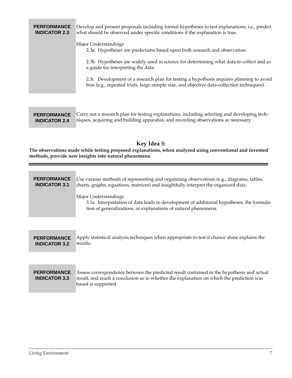#### Develop and present proposals including formal hypotheses to test explanations; i.e., predict what should be observed under specific conditions if the explanation is true. **PERFORMANCE INDICATOR 2.3**

#### Major Understandings

2.3a Hypotheses are predictions based upon both research and observation.

2.3b Hypotheses are widely used in science for determining what data to collect and as a guide for interpreting the data.

2.3c Development of a research plan for testing a hypothesis requires planning to avoid bias (e.g., repeated trials, large sample size, and objective data-collection techniques).

| <b>PERFORMANCE</b> Carry out a research plan for testing explanations, including selecting and developing tech- |
|-----------------------------------------------------------------------------------------------------------------|
| <b>INDICATOR 2.4</b> Iniques, acquiring and building apparatus, and recording observations as necessary.        |

#### **Key Idea 3:**

**The observations made while testing proposed explanations, when analyzed using conventional and invented methods, provide new insights into natural phenomena.**

| <b>PERFORMANCE</b><br><b>INDICATOR 3.1</b> | Use various methods of representing and organizing observations (e.g., diagrams, tables,<br>charts, graphs, equations, matrices) and insightfully interpret the organized data.<br>Major Understandings<br>3.1a Interpretation of data leads to development of additional hypotheses, the formula-<br>tion of generalizations, or explanations of natural phenomena. |
|--------------------------------------------|----------------------------------------------------------------------------------------------------------------------------------------------------------------------------------------------------------------------------------------------------------------------------------------------------------------------------------------------------------------------|
| <b>PERFORMANCE</b><br><b>INDICATOR 3.2</b> | Apply statistical analysis techniques when appropriate to test if chance alone explains the<br>results.                                                                                                                                                                                                                                                              |
|                                            |                                                                                                                                                                                                                                                                                                                                                                      |
| <b>PERFORMANCE</b><br><b>INDICATOR 3.3</b> | Assess correspondence between the predicted result contained in the hypothesis and actual<br>result, and reach a conclusion as to whether the explanation on which the prediction was<br>based is supported.                                                                                                                                                         |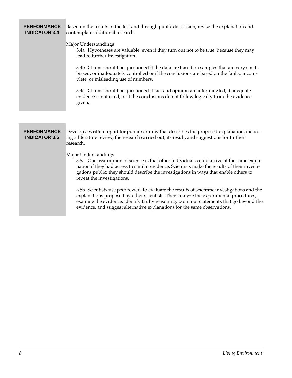#### **PERFORMANCE INDICATOR 3.4**

Based on the results of the test and through public discussion, revise the explanation and contemplate additional research.

#### Major Understandings

3.4a Hypotheses are valuable, even if they turn out not to be true, because they may lead to further investigation.

3.4b Claims should be questioned if the data are based on samples that are very small, biased, or inadequately controlled or if the conclusions are based on the faulty, incomplete, or misleading use of numbers.

3.4c Claims should be questioned if fact and opinion are intermingled, if adequate evidence is not cited, or if the conclusions do not follow logically from the evidence given.

#### **PERFORMANCE INDICATOR 3.5**

Develop a written report for public scrutiny that describes the proposed explanation, including a literature review, the research carried out, its result, and suggestions for further research.

#### Major Understandings

3.5a One assumption of science is that other individuals could arrive at the same explanation if they had access to similar evidence. Scientists make the results of their investigations public; they should describe the investigations in ways that enable others to repeat the investigations.

3.5b Scientists use peer review to evaluate the results of scientific investigations and the explanations proposed by other scientists. They analyze the experimental procedures, examine the evidence, identify faulty reasoning, point out statements that go beyond the evidence, and suggest alternative explanations for the same observations.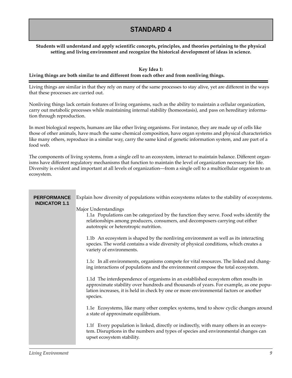# **STANDARD 4**

#### **Students will understand and apply scientific concepts, principles, and theories pertaining to the physical setting and living environment and recognize the historical development of ideas in science.**

#### **Key Idea 1: Living things are both similar to and different from each other and from nonliving things.**

Living things are similar in that they rely on many of the same processes to stay alive, yet are different in the ways that these processes are carried out.

Nonliving things lack certain features of living organisms, such as the ability to maintain a cellular organization, carry out metabolic processes while maintaining internal stability (homeostasis), and pass on hereditary information through reproduction.

In most biological respects, humans are like other living organisms. For instance, they are made up of cells like those of other animals, have much the same chemical composition, have organ systems and physical characteristics like many others, reproduce in a similar way, carry the same kind of genetic information system, and are part of a food web.

The components of living systems, from a single cell to an ecosystem, interact to maintain balance. Different organisms have different regulatory mechanisms that function to maintain the level of organization necessary for life. Diversity is evident and important at all levels of organization—from a single cell to a multicellular organism to an ecosystem.

| <b>PERFORMANCE</b><br><b>INDICATOR 1.1</b> | Explain how diversity of populations within ecosystems relates to the stability of ecosystems.                                                                                                                                                                                   |
|--------------------------------------------|----------------------------------------------------------------------------------------------------------------------------------------------------------------------------------------------------------------------------------------------------------------------------------|
|                                            | Major Understandings<br>1.1a Populations can be categorized by the function they serve. Food webs identify the<br>relationships among producers, consumers, and decomposers carrying out either<br>autotropic or heterotropic nutrition.                                         |
|                                            | 1.1b An ecosystem is shaped by the nonliving environment as well as its interacting<br>species. The world contains a wide diversity of physical conditions, which creates a<br>variety of environments.                                                                          |
|                                            | 1.1c In all environments, organisms compete for vital resources. The linked and chang-<br>ing interactions of populations and the environment compose the total ecosystem.                                                                                                       |
|                                            | 1.1d The interdependence of organisms in an established ecosystem often results in<br>approximate stability over hundreds and thousands of years. For example, as one popu-<br>lation increases, it is held in check by one or more environmental factors or another<br>species. |
|                                            | 1.1e Ecosystems, like many other complex systems, tend to show cyclic changes around<br>a state of approximate equilibrium.                                                                                                                                                      |
|                                            | 1.1f Every population is linked, directly or indirectly, with many others in an ecosys-<br>tem. Disruptions in the numbers and types of species and environmental changes can<br>upset ecosystem stability.                                                                      |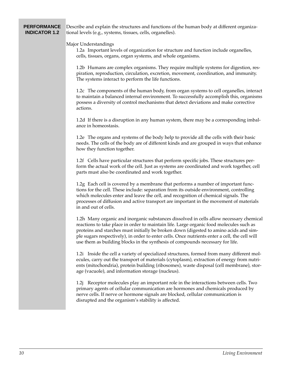#### **PERFORMANCE INDICATOR 1.2**

Describe and explain the structures and functions of the human body at different organizational levels (e.g., systems, tissues, cells, organelles).

#### Major Understandings

1.2a Important levels of organization for structure and function include organelles, cells, tissues, organs, organ systems, and whole organisms.

1.2b Humans are complex organisms. They require multiple systems for digestion, respiration, reproduction, circulation, excretion, movement, coordination, and immunity. The systems interact to perform the life functions.

1.2c The components of the human body, from organ systems to cell organelles, interact to maintain a balanced internal environment. To successfully accomplish this, organisms possess a diversity of control mechanisms that detect deviations and make corrective actions.

1.2d If there is a disruption in any human system, there may be a corresponding imbalance in homeostasis.

1.2e The organs and systems of the body help to provide all the cells with their basic needs. The cells of the body are of different kinds and are grouped in ways that enhance how they function together.

1.2f Cells have particular structures that perform specific jobs. These structures perform the actual work of the cell. Just as systems are coordinated and work together, cell parts must also be coordinated and work together.

1.2g Each cell is covered by a membrane that performs a number of important functions for the cell. These include: separation from its outside environment, controlling which molecules enter and leave the cell, and recognition of chemical signals. The processes of diffusion and active transport are important in the movement of materials in and out of cells.

1.2h Many organic and inorganic substances dissolved in cells allow necessary chemical reactions to take place in order to maintain life. Large organic food molecules such as proteins and starches must initially be broken down (digested to amino acids and simple sugars respectively), in order to enter cells. Once nutrients enter a cell, the cell will use them as building blocks in the synthesis of compounds necessary for life.

1.2i Inside the cell a variety of specialized structures, formed from many different molecules, carry out the transport of materials (cytoplasm), extraction of energy from nutrients (mitochondria), protein building (ribosomes), waste disposal (cell membrane), storage (vacuole), and information storage (nucleus).

1.2j Receptor molecules play an important role in the interactions between cells. Two primary agents of cellular communication are hormones and chemicals produced by nerve cells. If nerve or hormone signals are blocked, cellular communication is disrupted and the organism's stability is affected.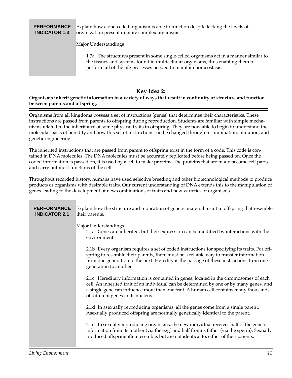#### Explain how a one-celled organism is able to function despite lacking the levels of organization present in more complex organisms. **PERFORMANCE INDICATOR 1.3**

Major Understandings

1.3a The structures present in some single-celled organisms act in a manner similar to the tissues and systems found in multicellular organisms, thus enabling them to perform all of the life processes needed to maintain homeostasis.

#### **Key Idea 2:**

#### **Organisms inherit genetic information in a variety of ways that result in continuity of structure and function between parents and offspring.**

Organisms from all kingdoms possess a set of instructions (genes) that determines their characteristics. These instructions are passed from parents to offspring during reproduction. Students are familiar with simple mechanisms related to the inheritance of some physical traits in offspring. They are now able to begin to understand the molecular basis of heredity and how this set of instructions can be changed through recombination, mutation, and genetic engineering.

The inherited instructions that are passed from parent to offspring exist in the form of a code. This code is contained in DNA molecules. The DNA molecules must be accurately replicated before being passed on. Once the coded information is passed on, it is used by a cell to make proteins. The proteins that are made become cell parts and carry out most functions of the cell.

Throughout recorded history, humans have used selective breeding and other biotechnological methods to produce products or organisms with desirable traits. Our current understanding of DNA extends this to the manipulation of genes leading to the development of new combinations of traits and new varieties of organisms.

| <b>PERFORMANCE</b><br><b>INDICATOR 2.1</b> | Explain how the structure and replication of genetic material result in offspring that resemble<br>their parents.                                                                                                                                                                                                |
|--------------------------------------------|------------------------------------------------------------------------------------------------------------------------------------------------------------------------------------------------------------------------------------------------------------------------------------------------------------------|
|                                            | Major Understandings<br>2.1a Genes are inherited, but their expression can be modified by interactions with the<br>environment.                                                                                                                                                                                  |
|                                            | 2.1b Every organism requires a set of coded instructions for specifying its traits. For off-<br>spring to resemble their parents, there must be a reliable way to transfer information<br>from one generation to the next. Heredity is the passage of these instructions from one<br>generation to another.      |
|                                            | 2.1c Hereditary information is contained in genes, located in the chromosomes of each<br>cell. An inherited trait of an individual can be determined by one or by many genes, and<br>a single gene can influence more than one trait. A human cell contains many thousands<br>of different genes in its nucleus. |
|                                            | 2.1d In asexually reproducing organisms, all the genes come from a single parent.<br>Asexually produced offspring are normally genetically identical to the parent.                                                                                                                                              |
|                                            | 2.1e In sexually reproducing organisms, the new individual receives half of the genetic<br>information from its mother (via the egg) and half fromits father (via the sperm). Sexually<br>produced offspringoften resemble, but are not identical to, either of their parents.                                   |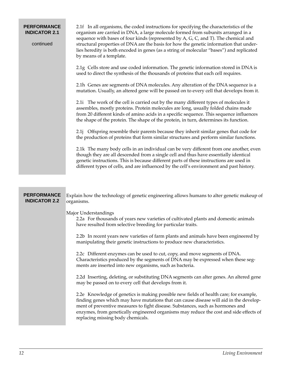| <b>PERFORMANCE</b><br><b>INDICATOR 2.1</b><br>continued | 2.1f In all organisms, the coded instructions for specifying the characteristics of the<br>organism are carried in DNA, a large molecule formed from subunits arranged in a<br>sequence with bases of four kinds (represented by A, G, C, and T). The chemical and<br>structural properties of DNA are the basis for how the genetic information that under-<br>lies heredity is both encoded in genes (as a string of molecular "bases") and replicated<br>by means of a template. |
|---------------------------------------------------------|-------------------------------------------------------------------------------------------------------------------------------------------------------------------------------------------------------------------------------------------------------------------------------------------------------------------------------------------------------------------------------------------------------------------------------------------------------------------------------------|
|                                                         | 2.1g Cells store and use coded information. The genetic information stored in DNA is<br>used to direct the synthesis of the thousands of proteins that each cell requires.                                                                                                                                                                                                                                                                                                          |
|                                                         | 2.1h Genes are segments of DNA molecules. Any alteration of the DNA sequence is a<br>mutation. Usually, an altered gene will be passed on to every cell that develops from it.                                                                                                                                                                                                                                                                                                      |
|                                                         | 2.1i The work of the cell is carried out by the many different types of molecules it<br>assembles, mostly proteins. Protein molecules are long, usually folded chains made<br>from 20 different kinds of amino acids in a specific sequence. This sequence influences<br>the shape of the protein. The shape of the protein, in turn, determines its function.                                                                                                                      |
|                                                         | 2.1j Offspring resemble their parents because they inherit similar genes that code for<br>the production of proteins that form similar structures and perform similar functions.                                                                                                                                                                                                                                                                                                    |
|                                                         | 2.1k The many body cells in an individual can be very different from one another, even<br>though they are all descended from a single cell and thus have essentially identical<br>genetic instructions. This is because different parts of these instructions are used in<br>different types of cells, and are influenced by the cell's environment and past history.                                                                                                               |
|                                                         |                                                                                                                                                                                                                                                                                                                                                                                                                                                                                     |
| <b>PERFORMANCE</b><br><b>INDICATOR 2.2</b>              | Explain how the technology of genetic engineering allows humans to alter genetic makeup of<br>organisms.                                                                                                                                                                                                                                                                                                                                                                            |
|                                                         | Major Understandings<br>2.2a For thousands of years new varieties of cultivated plants and domestic animals<br>have resulted from selective breeding for particular traits.                                                                                                                                                                                                                                                                                                         |
|                                                         | 2.2b In recent years new varieties of farm plants and animals have been engineered by<br>manipulating their genetic instructions to produce new characteristics.                                                                                                                                                                                                                                                                                                                    |
|                                                         | 2.2c Different enzymes can be used to cut, copy, and move segments of DNA.<br>Characteristics produced by the segments of DNA may be expressed when these seg-<br>ments are inserted into new organisms, such as bacteria.                                                                                                                                                                                                                                                          |
|                                                         | 2.2d Inserting, deleting, or substituting DNA segments can alter genes. An altered gene<br>may be passed on to every cell that develops from it.                                                                                                                                                                                                                                                                                                                                    |
|                                                         | 2.2e Knowledge of genetics is making possible new fields of health care; for example,<br>finding genes which may have mutations that can cause disease will aid in the develop-<br>ment of preventive measures to fight disease. Substances, such as hormones and<br>enzymes, from genetically engineered organisms may reduce the cost and side effects of                                                                                                                         |

replacing missing body chemicals.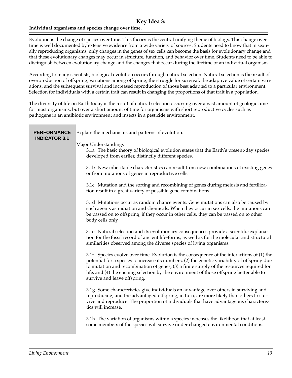#### **Key Idea 3:**

#### **Individual organisms and species change over time.**

Evolution is the change of species over time. This theory is the central unifying theme of biology. This change over time is well documented by extensive evidence from a wide variety of sources. Students need to know that in sexually reproducing organisms, only changes in the genes of sex cells can become the basis for evolutionary change and that these evolutionary changes may occur in structure, function, and behavior over time. Students need to be able to distinguish between evolutionary change and the changes that occur during the lifetime of an individual organism.

According to many scientists, biological evolution occurs through natural selection. Natural selection is the result of overproduction of offspring, variations among offspring, the struggle for survival, the adaptive value of certain variations, and the subsequent survival and increased reproduction of those best adapted to a particular environment. Selection for individuals with a certain trait can result in changing the proportions of that trait in a population.

The diversity of life on Earth today is the result of natural selection occurring over a vast amount of geologic time for most organisms, but over a short amount of time for organisms with short reproductive cycles such as pathogens in an antibiotic environment and insects in a pesticide environment.

| <b>PERFORMANCE</b><br><b>INDICATOR 3.1</b> | Explain the mechanisms and patterns of evolution.                                                                                                                                                                                                                                                                                                                                                                    |
|--------------------------------------------|----------------------------------------------------------------------------------------------------------------------------------------------------------------------------------------------------------------------------------------------------------------------------------------------------------------------------------------------------------------------------------------------------------------------|
|                                            | Major Understandings<br>3.1a The basic theory of biological evolution states that the Earth's present-day species<br>developed from earlier, distinctly different species.                                                                                                                                                                                                                                           |
|                                            | 3.1b New inheritable characteristics can result from new combinations of existing genes<br>or from mutations of genes in reproductive cells.                                                                                                                                                                                                                                                                         |
|                                            | 3.1c Mutation and the sorting and recombining of genes during meiosis and fertiliza-<br>tion result in a great variety of possible gene combinations.                                                                                                                                                                                                                                                                |
|                                            | 3.1d Mutations occur as random chance events. Gene mutations can also be caused by<br>such agents as radiation and chemicals. When they occur in sex cells, the mutations can<br>be passed on to offspring; if they occur in other cells, they can be passed on to other<br>body cells only.                                                                                                                         |
|                                            | 3.1e Natural selection and its evolutionary consequences provide a scientific explana-<br>tion for the fossil record of ancient life-forms, as well as for the molecular and structural<br>similarities observed among the diverse species of living organisms.                                                                                                                                                      |
|                                            | 3.1f Species evolve over time. Evolution is the consequence of the interactions of (1) the<br>potential for a species to increase its numbers, (2) the genetic variability of offspring due<br>to mutation and recombination of genes, (3) a finite supply of the resources required for<br>life, and (4) the ensuing selection by the environment of those offspring better able to<br>survive and leave offspring. |
|                                            | 3.1g Some characteristics give individuals an advantage over others in surviving and<br>reproducing, and the advantaged offspring, in turn, are more likely than others to sur-<br>vive and reproduce. The proportion of individuals that have advantageous characteris-<br>tics will increase.                                                                                                                      |
|                                            | 3.1h The variation of organisms within a species increases the likelihood that at least<br>some members of the species will survive under changed environmental conditions.                                                                                                                                                                                                                                          |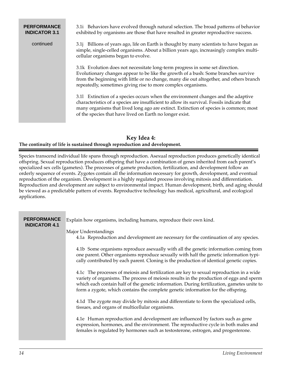#### 3.1i Behaviors have evolved through natural selection. The broad patterns of behavior exhibited by organisms are those that have resulted in greater reproductive success. 3.1j Billions of years ago, life on Earth is thought by many scientists to have begun as simple, single-celled organisms. About a billion years ago, increasingly complex multicellular organisms began to evolve. 3.1k Evolution does not necessitate long-term progress in some set direction. Evolutionary changes appear to be like the growth of a bush: Some branches survive from the beginning with little or no change, many die out altogether, and others branch repeatedly, sometimes giving rise to more complex organisms. 3.1l Extinction of a species occurs when the environment changes and the adaptive characteristics of a species are insufficient to allow its survival. Fossils indicate that many organisms that lived long ago are extinct. Extinction of species is common; most of the species that have lived on Earth no longer exist. **PERFORMANCE INDICATOR 3.1** continued

#### **Key Idea 4: The continuity of life is sustained through reproduction and development.**

Species transcend individual life spans through reproduction. Asexual reproduction produces genetically identical offspring. Sexual reproduction produces offspring that have a combination of genes inherited from each parent's specialized sex cells (gametes). The processes of gamete production, fertilization, and development follow an orderly sequence of events. Zygotes contain all the information necessary for growth, development, and eventual reproduction of the organism. Development is a highly regulated process involving mitosis and differentiation. Reproduction and development are subject to environmental impact. Human development, birth, and aging should be viewed as a predictable pattern of events. Reproductive technology has medical, agricultural, and ecological applications.

| <b>PERFORMANCE</b><br><b>INDICATOR 4.1</b> | Explain how organisms, including humans, reproduce their own kind.                                                                                                                                                                                                                                                                                                      |
|--------------------------------------------|-------------------------------------------------------------------------------------------------------------------------------------------------------------------------------------------------------------------------------------------------------------------------------------------------------------------------------------------------------------------------|
|                                            | Major Understandings<br>4.1a Reproduction and development are necessary for the continuation of any species.                                                                                                                                                                                                                                                            |
|                                            | 4.1b Some organisms reproduce as exually with all the genetic information coming from<br>one parent. Other organisms reproduce sexually with half the genetic information typi-<br>cally contributed by each parent. Cloning is the production of identical genetic copies.                                                                                             |
|                                            | 4.1c The processes of meiosis and fertilization are key to sexual reproduction in a wide<br>variety of organisms. The process of meiosis results in the production of eggs and sperm<br>which each contain half of the genetic information. During fertilization, gametes unite to<br>form a zygote, which contains the complete genetic information for the offspring. |
|                                            | 4.1d The zygote may divide by mitosis and differentiate to form the specialized cells,<br>tissues, and organs of multicellular organisms.                                                                                                                                                                                                                               |
|                                            | 4.1e Human reproduction and development are influenced by factors such as gene<br>expression, hormones, and the environment. The reproductive cycle in both males and<br>females is regulated by hormones such as testosterone, estrogen, and progesterone.                                                                                                             |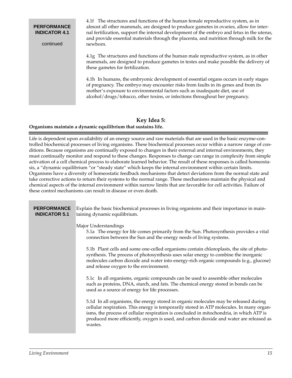#### **PERFORMANCE INDICATOR 4.1**

continued

4.1f The structures and functions of the human female reproductive system, as in almost all other mammals, are designed to produce gametes in ovaries, allow for internal fertilization, support the internal development of the embryo and fetus in the uterus, and provide essential materials through the placenta, and nutrition through milk for the newborn.

4.1g The structures and functions of the human male reproductive system, as in other mammals, are designed to produce gametes in testes and make possible the delivery of these gametes for fertilization.

4.1h In humans, the embryonic development of essential organs occurs in early stages of pregnancy. The embryo may encounter risks from faults in its genes and from its mother's exposure to environmental factors such as inadequate diet, use of alcohol/drugs/tobacco, other toxins, or infections throughout her pregnancy.

#### **Key Idea 5: Organisms maintain a dynamic equilibrium that sustains life.**

Life is dependent upon availability of an energy source and raw materials that are used in the basic enzyme-controlled biochemical processes of living organisms. These biochemical processes occur within a narrow range of conditions. Because organisms are continually exposed to changes in their external and internal environments, they must continually monitor and respond to these changes. Responses to change can range in complexity from simple activation of a cell chemical process to elaborate learned behavior. The result of these responses is called homeostasis, a "dynamic equilibrium "or "steady state" which keeps the internal environment within certain limits. Organisms have a diversity of homeostatic feedback mechanisms that detect deviations from the normal state and take corrective actions to return their systems to the normal range. These mechanisms maintain the physical and chemical aspects of the internal environment within narrow limits that are favorable for cell activities. Failure of these control mechanisms can result in disease or even death.

| <b>PERFORMANCE</b><br><b>INDICATOR 5.1</b> | Explain the basic biochemical processes in living organisms and their importance in main-<br>taining dynamic equilibrium.                                                                                                                                                                                                                                                         |
|--------------------------------------------|-----------------------------------------------------------------------------------------------------------------------------------------------------------------------------------------------------------------------------------------------------------------------------------------------------------------------------------------------------------------------------------|
|                                            | Major Understandings<br>5.1a The energy for life comes primarily from the Sun. Photosynthesis provides a vital<br>connection between the Sun and the energy needs of living systems.                                                                                                                                                                                              |
|                                            | 5.1b Plant cells and some one-celled organisms contain chloroplasts, the site of photo-<br>synthesis. The process of photosynthesis uses solar energy to combine the inorganic<br>molecules carbon dioxide and water into energy-rich organic compounds (e.g., glucose)<br>and release oxygen to the environment.                                                                 |
|                                            | 5.1c In all organisms, organic compounds can be used to assemble other molecules<br>such as proteins, DNA, starch, and fats. The chemical energy stored in bonds can be<br>used as a source of energy for life processes.                                                                                                                                                         |
|                                            | 5.1d In all organisms, the energy stored in organic molecules may be released during<br>cellular respiration. This energy is temporarily stored in ATP molecules. In many organ-<br>isms, the process of cellular respiration is concluded in mitochondria, in which ATP is<br>produced more efficiently, oxygen is used, and carbon dioxide and water are released as<br>wastes. |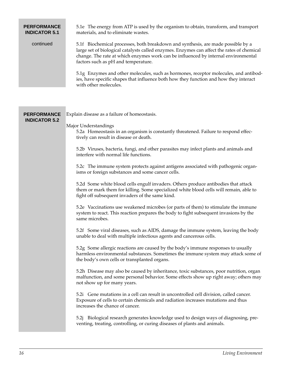#### **PERFORMANCE INDICATOR 5.1**

continued

5.1e The energy from ATP is used by the organism to obtain, transform, and transport materials, and to eliminate wastes.

5.1f Biochemical processes, both breakdown and synthesis, are made possible by a large set of biological catalysts called enzymes. Enzymes can affect the rates of chemical change. The rate at which enzymes work can be influenced by internal environmental factors such as pH and temperature.

5.1g Enzymes and other molecules, such as hormones, receptor molecules, and antibodies, have specific shapes that influence both how they function and how they interact with other molecules.

| <b>PERFORMANCE</b>   | Explain disease as a failure of homeostasis.                                                                                                                                                                                    |
|----------------------|---------------------------------------------------------------------------------------------------------------------------------------------------------------------------------------------------------------------------------|
| <b>INDICATOR 5.2</b> | Major Understandings<br>5.2a Homeostasis in an organism is constantly threatened. Failure to respond effec-<br>tively can result in disease or death.                                                                           |
|                      | 5.2b Viruses, bacteria, fungi, and other parasites may infect plants and animals and<br>interfere with normal life functions.                                                                                                   |
|                      | 5.2c The immune system protects against antigens associated with pathogenic organ-<br>isms or foreign substances and some cancer cells.                                                                                         |
|                      | 5.2d Some white blood cells engulf invaders. Others produce antibodies that attack<br>them or mark them for killing. Some specialized white blood cells will remain, able to<br>fight off subsequent invaders of the same kind. |
|                      | 5.2e Vaccinations use weakened microbes (or parts of them) to stimulate the immune<br>system to react. This reaction prepares the body to fight subsequent invasions by the<br>same microbes.                                   |
|                      | 5.2f Some viral diseases, such as AIDS, damage the immune system, leaving the body<br>unable to deal with multiple infectious agents and cancerous cells.                                                                       |
|                      | 5.2g Some allergic reactions are caused by the body's immune responses to usually<br>harmless environmental substances. Sometimes the immune system may attack some of<br>the body's own cells or transplanted organs.          |
|                      | 5.2h Disease may also be caused by inheritance, toxic substances, poor nutrition, organ<br>malfunction, and some personal behavior. Some effects show up right away; others may<br>not show up for many years.                  |
|                      | 5.2i Gene mutations in a cell can result in uncontrolled cell division, called cancer.<br>Exposure of cells to certain chemicals and radiation increases mutations and thus<br>increases the chance of cancer.                  |
|                      | 5.2j Biological research generates knowledge used to design ways of diagnosing, pre-<br>venting, treating, controlling, or curing diseases of plants and animals.                                                               |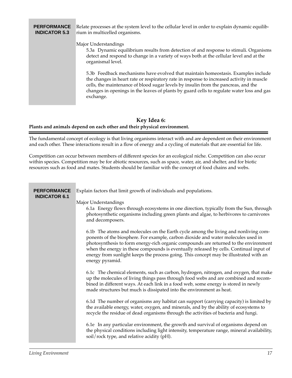#### Relate processes at the system level to the cellular level in order to explain dynamic equilibrium in multicelled organisms. Major Understandings 5.3a Dynamic equilibrium results from detection of and response to stimuli. Organisms detect and respond to change in a variety of ways both at the cellular level and at the organismal level. 5.3b Feedback mechanisms have evolved that maintain homeostasis. Examples include the changes in heart rate or respiratory rate in response to increased activity in muscle cells, the maintenance of blood sugar levels by insulin from the pancreas, and the changes in openings in the leaves of plants by guard cells to regulate water loss and gas exchange. **PERFORMANCE INDICATOR 5.3**

#### **Key Idea 6: Plants and animals depend on each other and their physical environment.**

The fundamental concept of ecology is that living organisms interact with and are dependent on their environment and each other. These interactions result in a flow of energy and a cycling of materials that are essential for life.

Competition can occur between members of different species for an ecological niche. Competition can also occur within species. Competition may be for abiotic resources, such as space, water, air, and shelter, and for biotic resources such as food and mates. Students should be familiar with the concept of food chains and webs.

| <b>PERFORMANCE</b><br><b>INDICATOR 6.1</b> | Explain factors that limit growth of individuals and populations.                                                                                                                                                                                                                                                                                                                                                                                                      |
|--------------------------------------------|------------------------------------------------------------------------------------------------------------------------------------------------------------------------------------------------------------------------------------------------------------------------------------------------------------------------------------------------------------------------------------------------------------------------------------------------------------------------|
|                                            | Major Understandings<br>6.1a Energy flows through ecosystems in one direction, typically from the Sun, through<br>photosynthetic organisms including green plants and algae, to herbivores to carnivores<br>and decomposers.                                                                                                                                                                                                                                           |
|                                            | 6.1b The atoms and molecules on the Earth cycle among the living and nonliving com-<br>ponents of the biosphere. For example, carbon dioxide and water molecules used in<br>photosynthesis to form energy-rich organic compounds are returned to the environment<br>when the energy in these compounds is eventually released by cells. Continual input of<br>energy from sunlight keeps the process going. This concept may be illustrated with an<br>energy pyramid. |
|                                            | 6.1c The chemical elements, such as carbon, hydrogen, nitrogen, and oxygen, that make<br>up the molecules of living things pass through food webs and are combined and recom-<br>bined in different ways. At each link in a food web, some energy is stored in newly<br>made structures but much is dissipated into the environment as heat.                                                                                                                           |
|                                            | 6.1d The number of organisms any habitat can support (carrying capacity) is limited by<br>the available energy, water, oxygen, and minerals, and by the ability of ecosystems to<br>recycle the residue of dead organisms through the activities of bacteria and fungi.                                                                                                                                                                                                |
|                                            | 6.1e In any particular environment, the growth and survival of organisms depend on<br>the physical conditions including light intensity, temperature range, mineral availability,<br>soil/rock type, and relative acidity (pH).                                                                                                                                                                                                                                        |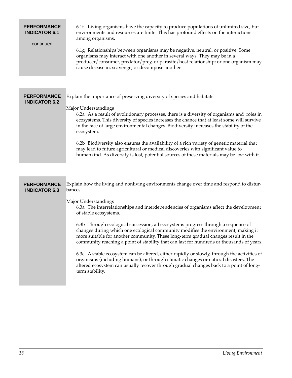#### **PERFORMANCE INDICATOR 6.1**

#### continued

6.1f Living organisms have the capacity to produce populations of unlimited size, but environments and resources are finite. This has profound effects on the interactions among organisms.

6.1g Relationships between organisms may be negative, neutral, or positive. Some organisms may interact with one another in several ways. They may be in a producer/consumer, predator/prey, or parasite/host relationship; or one organism may cause disease in, scavenge, or decompose another.

| <b>PERFORMANCE</b><br><b>INDICATOR 6.2</b> | Explain the importance of preserving diversity of species and habitats.<br>Major Understandings<br>6.2a As a result of evolutionary processes, there is a diversity of organisms and roles in<br>ecosystems. This diversity of species increases the chance that at least some will survive<br>in the face of large environmental changes. Biodiversity increases the stability of the<br>ecosystem.<br>6.2b Biodiversity also ensures the availability of a rich variety of genetic material that<br>may lead to future agricultural or medical discoveries with significant value to<br>humankind. As diversity is lost, potential sources of these materials may be lost with it. |
|--------------------------------------------|--------------------------------------------------------------------------------------------------------------------------------------------------------------------------------------------------------------------------------------------------------------------------------------------------------------------------------------------------------------------------------------------------------------------------------------------------------------------------------------------------------------------------------------------------------------------------------------------------------------------------------------------------------------------------------------|
|                                            |                                                                                                                                                                                                                                                                                                                                                                                                                                                                                                                                                                                                                                                                                      |
| <b>PERFORMANCE</b><br><b>INDICATOR 6.3</b> | Explain how the living and nonliving environments change over time and respond to distur-<br>bances.                                                                                                                                                                                                                                                                                                                                                                                                                                                                                                                                                                                 |
|                                            | Major Understandings<br>6.3a The interrelationships and interdependencies of organisms affect the development<br>of stable ecosystems.                                                                                                                                                                                                                                                                                                                                                                                                                                                                                                                                               |
|                                            | 6.3b Through ecological succession, all ecosystems progress through a sequence of<br>changes during which one ecological community modifies the environment, making it<br>more suitable for another community. These long-term gradual changes result in the<br>community reaching a point of stability that can last for hundreds or thousands of years.                                                                                                                                                                                                                                                                                                                            |
|                                            | 6.3c A stable ecosystem can be altered, either rapidly or slowly, through the activities of<br>organisms (including humans), or through climatic changes or natural disasters. The<br>altered ecosystem can usually recover through gradual changes back to a point of long-<br>term stability.                                                                                                                                                                                                                                                                                                                                                                                      |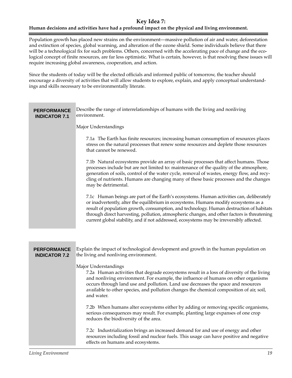#### **Key Idea 7:**

#### **Human decisions and activities have had a profound impact on the physical and living environment.**

Population growth has placed new strains on the environment—massive pollution of air and water, deforestation and extinction of species, global warming, and alteration of the ozone shield. Some individuals believe that there will be a technological fix for such problems. Others, concerned with the accelerating pace of change and the ecological concept of finite resources, are far less optimistic. What is certain, however, is that resolving these issues will require increasing global awareness, cooperation, and action.

Since the students of today will be the elected officials and informed public of tomorrow, the teacher should encourage a diversity of activities that will allow students to explore, explain, and apply conceptual understandings and skills necessary to be environmentally literate.

| <b>PERFORMANCE</b><br><b>INDICATOR 7.1</b> | Describe the range of interrelationships of humans with the living and nonliving<br>environment.                                                                                                                                                                                                                                                                                                                                                                       |
|--------------------------------------------|------------------------------------------------------------------------------------------------------------------------------------------------------------------------------------------------------------------------------------------------------------------------------------------------------------------------------------------------------------------------------------------------------------------------------------------------------------------------|
|                                            | Major Understandings                                                                                                                                                                                                                                                                                                                                                                                                                                                   |
|                                            | 7.1a The Earth has finite resources; increasing human consumption of resources places<br>stress on the natural processes that renew some resources and deplete those resources<br>that cannot be renewed.                                                                                                                                                                                                                                                              |
|                                            | 7.1b Natural ecosystems provide an array of basic processes that affect humans. Those<br>processes include but are not limited to: maintenance of the quality of the atmosphere,<br>generation of soils, control of the water cycle, removal of wastes, energy flow, and recy-<br>cling of nutrients. Humans are changing many of these basic processes and the changes<br>may be detrimental.                                                                         |
|                                            | 7.1c Human beings are part of the Earth's ecosystems. Human activities can, deliberately<br>or inadvertently, alter the equilibrium in ecosystems. Humans modify ecosystems as a<br>result of population growth, consumption, and technology. Human destruction of habitats<br>through direct harvesting, pollution, atmospheric changes, and other factors is threatening<br>current global stability, and if not addressed, ecosystems may be irreversibly affected. |
|                                            |                                                                                                                                                                                                                                                                                                                                                                                                                                                                        |
| <b>PERFORMANCE</b><br><b>INDICATOR 7.2</b> | Explain the impact of technological development and growth in the human population on<br>the living and nonliving environment.                                                                                                                                                                                                                                                                                                                                         |
|                                            | Major Understandings<br>7.2a Human activities that degrade ecosystems result in a loss of diversity of the living<br>and nonliving environment. For example, the influence of humans on other organisms<br>occurs through land use and pollution. Land use decreases the space and resources<br>available to other species, and pollution changes the chemical composition of air, soil,<br>and water.                                                                 |
|                                            | 7.2b When humans alter ecosystems either by adding or removing specific organisms,<br>serious consequences may result. For example, planting large expanses of one crop<br>reduces the biodiversity of the area.                                                                                                                                                                                                                                                       |
|                                            | 7.2c Industrialization brings an increased demand for and use of energy and other<br>resources including fossil and nuclear fuels. This usage can have positive and negative<br>effects on humans and ecosystems.                                                                                                                                                                                                                                                      |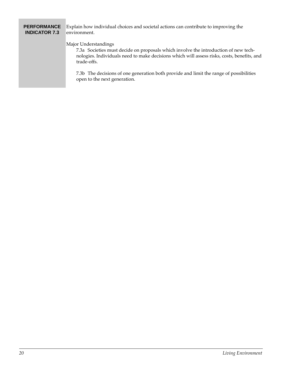#### **PERFORMANCE INDICATOR 7.3**

Explain how individual choices and societal actions can contribute to improving the environment.

#### Major Understandings

7.3a Societies must decide on proposals which involve the introduction of new technologies. Individuals need to make decisions which will assess risks, costs, benefits, and trade-offs.

7.3b The decisions of one generation both provide and limit the range of possibilities open to the next generation.